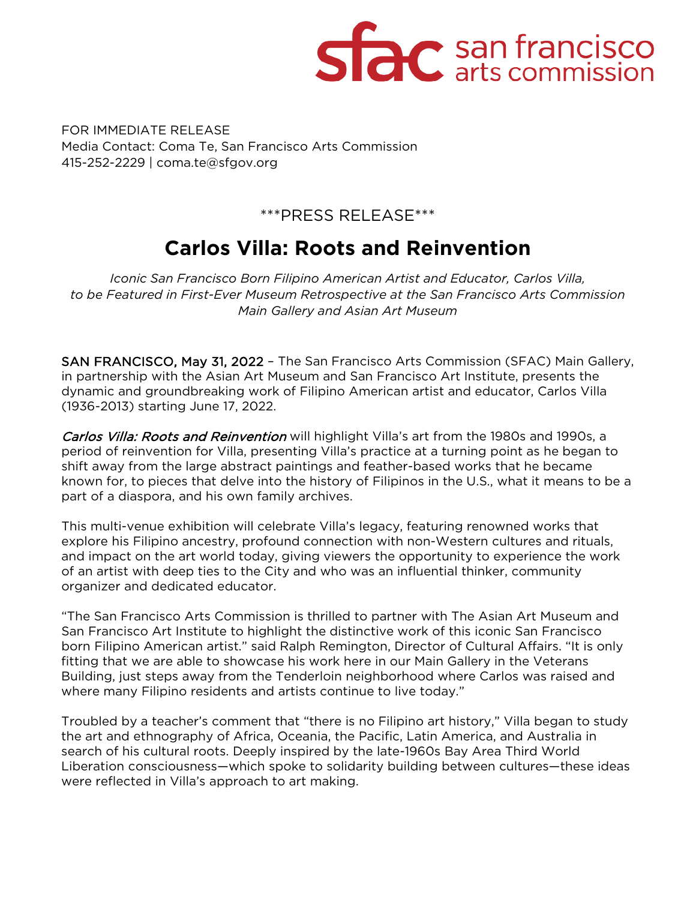

FOR IMMEDIATE RELEASE Media Contact: Coma Te, San Francisco Arts Commission 415-252-2229 | coma.te@sfgov.org

### \*\*\*PRESS RELEASE\*\*\*

## **Carlos Villa: Roots and Reinvention**

*Iconic San Francisco Born Filipino American Artist and Educator, Carlos Villa, to be Featured in First-Ever Museum Retrospective at the San Francisco Arts Commission Main Gallery and Asian Art Museum*

SAN FRANCISCO, May 31, 2022 – The San Francisco Arts Commission (SFAC) Main Gallery, in partnership with the Asian Art Museum and San Francisco Art Institute, presents the dynamic and groundbreaking work of Filipino American artist and educator, Carlos Villa (1936-2013) starting June 17, 2022.

Carlos Villa: Roots and Reinvention will highlight Villa's art from the 1980s and 1990s, a period of reinvention for Villa, presenting Villa's practice at a turning point as he began to shift away from the large abstract paintings and feather-based works that he became known for, to pieces that delve into the history of Filipinos in the U.S., what it means to be a part of a diaspora, and his own family archives.

This multi-venue exhibition will celebrate Villa's legacy, featuring renowned works that explore his Filipino ancestry, profound connection with non-Western cultures and rituals, and impact on the art world today, giving viewers the opportunity to experience the work of an artist with deep ties to the City and who was an influential thinker, community organizer and dedicated educator.

"The San Francisco Arts Commission is thrilled to partner with The Asian Art Museum and San Francisco Art Institute to highlight the distinctive work of this iconic San Francisco born Filipino American artist." said Ralph Remington, Director of Cultural Affairs. "It is only fitting that we are able to showcase his work here in our Main Gallery in the Veterans Building, just steps away from the Tenderloin neighborhood where Carlos was raised and where many Filipino residents and artists continue to live today."

Troubled by a teacher's comment that "there is no Filipino art history," Villa began to study the art and ethnography of Africa, Oceania, the Pacific, Latin America, and Australia in search of his cultural roots. Deeply inspired by the late-1960s Bay Area Third World Liberation consciousness—which spoke to solidarity building between cultures—these ideas were reflected in Villa's approach to art making.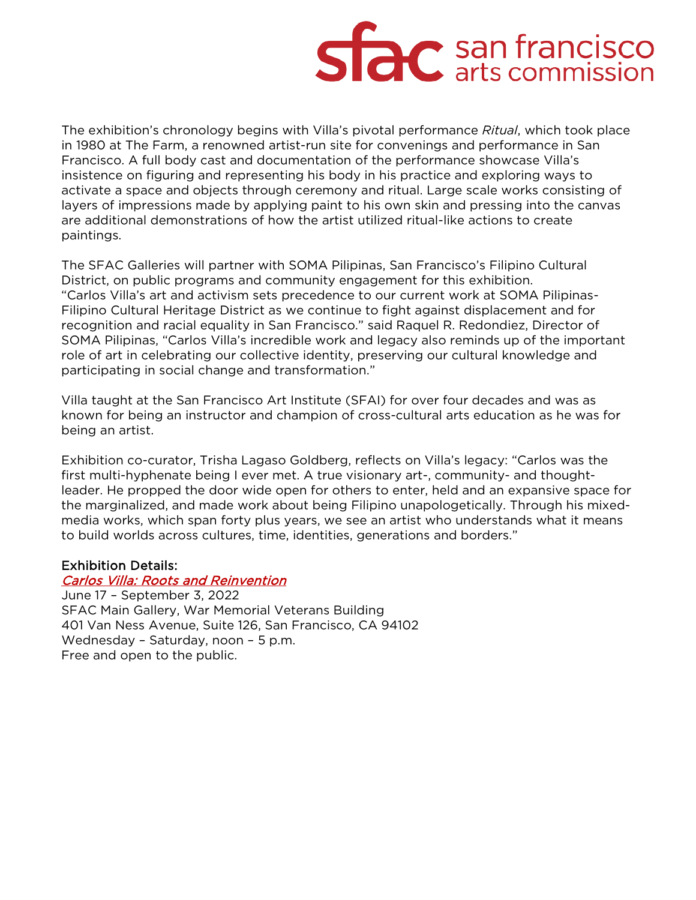# **Side** san francisco

The exhibition's chronology begins with Villa's pivotal performance *Ritual*, which took place in 1980 at The Farm, a renowned artist-run site for convenings and performance in San Francisco. A full body cast and documentation of the performance showcase Villa's insistence on figuring and representing his body in his practice and exploring ways to activate a space and objects through ceremony and ritual. Large scale works consisting of layers of impressions made by applying paint to his own skin and pressing into the canvas are additional demonstrations of how the artist utilized ritual-like actions to create paintings.

The SFAC Galleries will partner with SOMA Pilipinas, San Francisco's Filipino Cultural District, on public programs and community engagement for this exhibition. "Carlos Villa's art and activism sets precedence to our current work at SOMA Pilipinas-Filipino Cultural Heritage District as we continue to fight against displacement and for recognition and racial equality in San Francisco." said Raquel R. Redondiez, Director of SOMA Pilipinas, "Carlos Villa's incredible work and legacy also reminds up of the important role of art in celebrating our collective identity, preserving our cultural knowledge and participating in social change and transformation."

Villa taught at the San Francisco Art Institute (SFAI) for over four decades and was as known for being an instructor and champion of cross-cultural arts education as he was for being an artist.

Exhibition co-curator, Trisha Lagaso Goldberg, reflects on Villa's legacy: "Carlos was the first multi-hyphenate being I ever met. A true visionary art-, community- and thoughtleader. He propped the door wide open for others to enter, held and an expansive space for the marginalized, and made work about being Filipino unapologetically. Through his mixedmedia works, which span forty plus years, we see an artist who understands what it means to build worlds across cultures, time, identities, generations and borders."

#### Exhibition Details:

#### [Carlos Villa: Roots and Reinvention](https://www.sfartscommission.org/experience-art/exhibitions/carlos-villa-roots-and-reinvention)

June 17 – September 3, 2022 SFAC Main Gallery, War Memorial Veterans Building 401 Van Ness Avenue, Suite 126, San Francisco, CA 94102 Wednesday – Saturday, noon – 5 p.m. Free and open to the public.